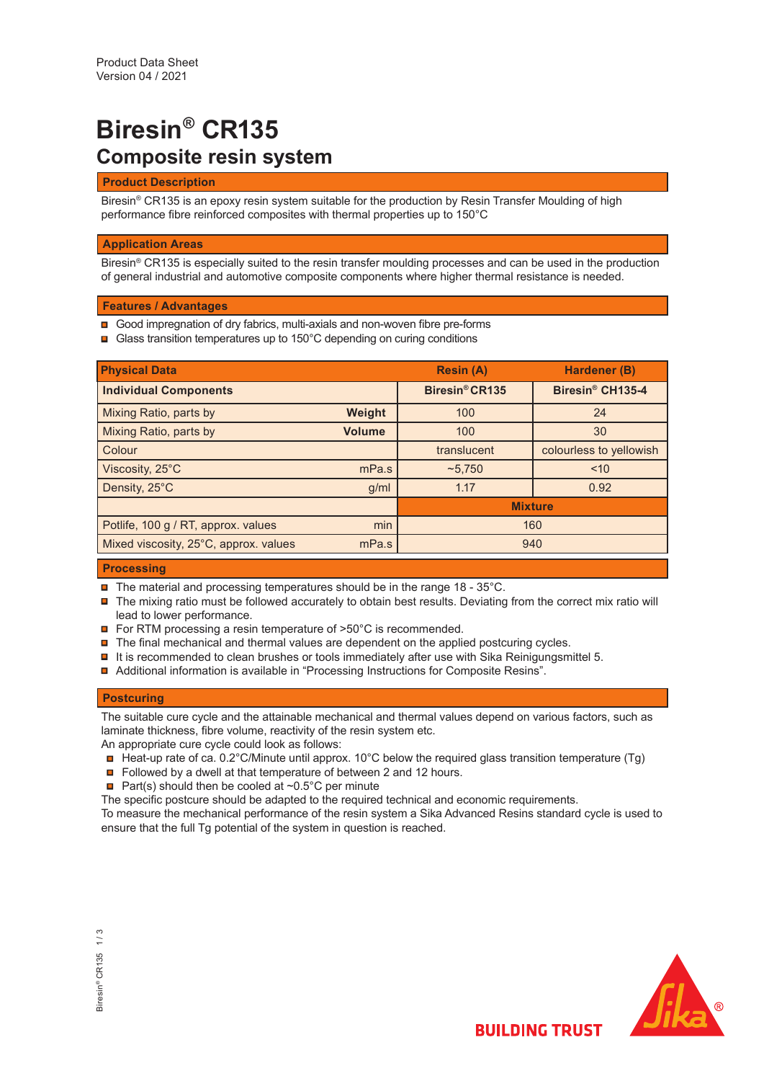# **Biresin® CR135 Composite resin system**

## **Product Description**

Biresin® CR135 is an epoxy resin system suitable for the production by Resin Transfer Moulding of high performance fibre reinforced composites with thermal properties up to 150°C

## **Application Areas**

Biresin® CR135 is especially suited to the resin transfer moulding processes and can be used in the production of general industrial and automotive composite components where higher thermal resistance is needed.

## **Features / Advantages**

- **□** Good impregnation of dry fabrics, multi-axials and non-woven fibre pre-forms
- **□** Glass transition temperatures up to 150°C depending on curing conditions

| <b>Physical Data</b>                  |               | <b>Resin (A)</b>           | Hardener (B)                 |  |  |
|---------------------------------------|---------------|----------------------------|------------------------------|--|--|
| <b>Individual Components</b>          |               | Biresin <sup>®</sup> CR135 | Biresin <sup>®</sup> CH135-4 |  |  |
| Mixing Ratio, parts by                | Weight        | 100                        | 24                           |  |  |
| Mixing Ratio, parts by                | <b>Volume</b> | 100                        | 30                           |  |  |
| Colour                                |               | translucent                | colourless to yellowish      |  |  |
| Viscosity, 25°C                       | mPa.s         | ~5,750                     | ~10                          |  |  |
| Density, 25°C                         | g/ml          | 1.17                       | 0.92                         |  |  |
|                                       |               | <b>Mixture</b>             |                              |  |  |
| Potlife, 100 g / RT, approx. values   | min           | 160                        |                              |  |  |
| Mixed viscosity, 25°C, approx. values | mPa.s         | 940                        |                              |  |  |

## **Processing**

- **□** The material and processing temperatures should be in the range 18 35°C.
- The mixing ratio must be followed accurately to obtain best results. Deviating from the correct mix ratio will lead to lower performance.
- **□** For RTM processing a resin temperature of >50°C is recommended.
- $\blacksquare$  The final mechanical and thermal values are dependent on the applied postcuring cycles.
- $\blacksquare$  It is recommended to clean brushes or tools immediately after use with Sika Reinigungsmittel 5.
- Additional information is available in "Processing Instructions for Composite Resins".

## **Postcuring**

The suitable cure cycle and the attainable mechanical and thermal values depend on various factors, such as laminate thickness, fibre volume, reactivity of the resin system etc.

An appropriate cure cycle could look as follows:

- $\Box$  Heat-up rate of ca. 0.2°C/Minute until approx. 10°C below the required glass transition temperature (Tg)
- Followed by a dwell at that temperature of between 2 and 12 hours.
- **Part(s)** should then be cooled at  $\sim 0.5^{\circ}$ C per minute

The specific postcure should be adapted to the required technical and economic requirements.

To measure the mechanical performance of the resin system a Sika Advanced Resins standard cycle is used to ensure that the full Tg potential of the system in question is reached.



**BUILDING TRUST**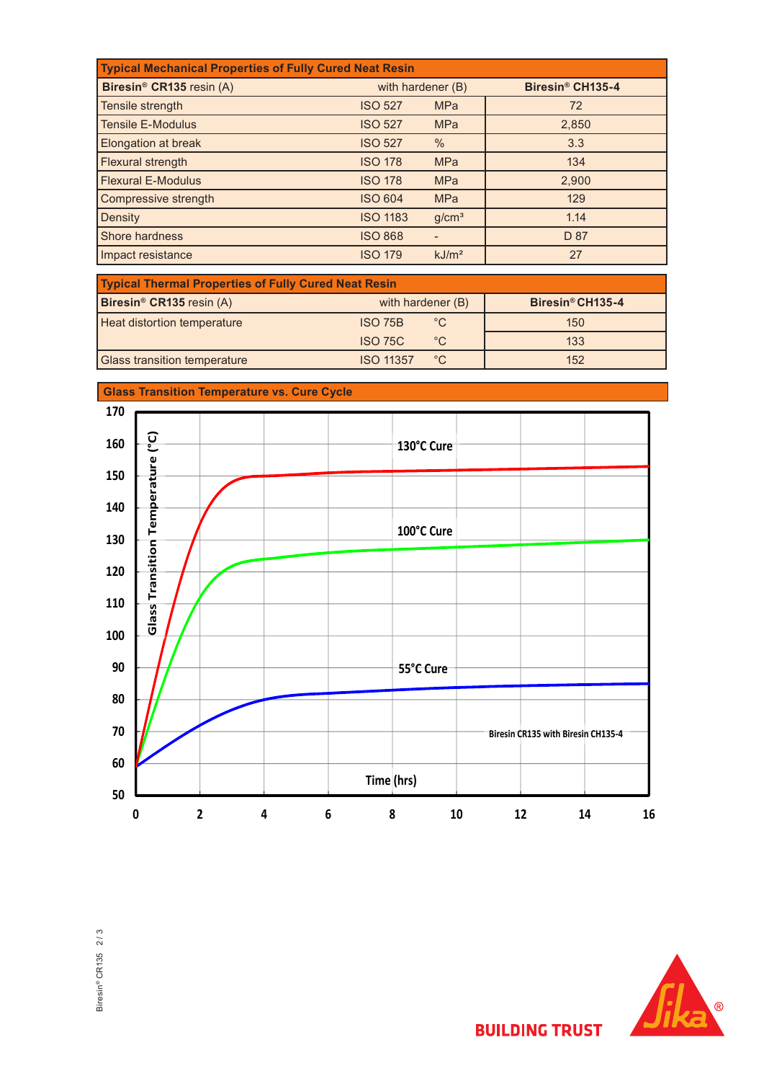| <b>Typical Mechanical Properties of Fully Cured Neat Resin</b> |                   |                   |                              |  |  |  |  |
|----------------------------------------------------------------|-------------------|-------------------|------------------------------|--|--|--|--|
| Biresin <sup>®</sup> CR135 resin (A)                           | with hardener (B) |                   | Biresin <sup>®</sup> CH135-4 |  |  |  |  |
| Tensile strength                                               | <b>ISO 527</b>    | <b>MPa</b>        | 72                           |  |  |  |  |
| <b>Tensile E-Modulus</b>                                       | <b>ISO 527</b>    | <b>MPa</b>        | 2,850                        |  |  |  |  |
| Elongation at break                                            | <b>ISO 527</b>    | $\%$              | 3.3                          |  |  |  |  |
| Flexural strength                                              | <b>ISO 178</b>    | <b>MPa</b>        | 134                          |  |  |  |  |
| <b>Flexural E-Modulus</b>                                      | <b>ISO 178</b>    | <b>MPa</b>        | 2,900                        |  |  |  |  |
| Compressive strength                                           | <b>ISO 604</b>    | <b>MPa</b>        | 129                          |  |  |  |  |
| <b>Density</b>                                                 | <b>ISO 1183</b>   | g/cm <sup>3</sup> | 1.14                         |  |  |  |  |
| Shore hardness                                                 | <b>ISO 868</b>    |                   | D 87                         |  |  |  |  |
| Impact resistance                                              | <b>ISO 179</b>    | kJ/m <sup>2</sup> | 27                           |  |  |  |  |

| <b>Typical Thermal Properties of Fully Cured Neat Resin</b> |                   |              |                  |  |  |  |  |
|-------------------------------------------------------------|-------------------|--------------|------------------|--|--|--|--|
| Biresin <sup>®</sup> CR135 resin (A)                        | with hardener (B) |              | Biresin® CH135-4 |  |  |  |  |
| Heat distortion temperature                                 | ISO 75B           | $^{\circ}$ C | 150              |  |  |  |  |
|                                                             | <b>ISO 75C</b>    | $^{\circ}$ C | 133              |  |  |  |  |
| <b>Glass transition temperature</b>                         | <b>ISO 11357</b>  | $^{\circ}C$  | 152              |  |  |  |  |



**Glass Transition Temperature vs. Cure Cycle**





**BUILDING TRUST**